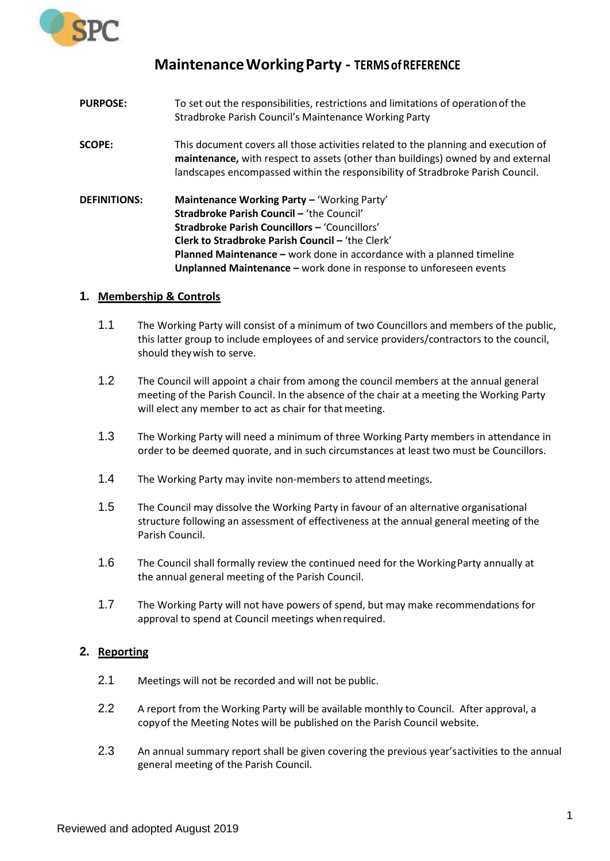

## **MaintenanceWorkingParty - TERMSofREFERENCE**

**PURPOSE:** To set out the responsibilities, restrictions and limitations of operationof the Stradbroke Parish Council's Maintenance Working Party **SCOPE:** This document covers all those activities related to the planning and execution of **maintenance,** with respect to assets (other than buildings) owned by and external landscapes encompassed within the responsibility of Stradbroke Parish Council. **DEFINITIONS: Maintenance Working Party –** 'Working Party' **Stradbroke Parish Council –** 'the Council' **Stradbroke Parish Councillors –** 'Councillors' **Clerk to Stradbroke Parish Council –** 'the Clerk' **Planned Maintenance –** work done in accordance with a planned timeline **Unplanned Maintenance –** work done in response to unforeseen events

## **1. Membership & Controls**

- 1.1 The Working Party will consist of a minimum of two Councillors and members of the public, this latter group to include employees of and service providers/contractors to the council, should theywish to serve.
- 1.2 The Council will appoint a chair from among the council members at the annual general meeting of the Parish Council. In the absence of the chair at a meeting the Working Party will elect any member to act as chair for that meeting.
- 1.3 The Working Party will need a minimum of three Working Party members in attendance in order to be deemed quorate, and in such circumstances at least two must be Councillors.
- 1.4 The Working Party may invite non-members to attend meetings.
- 1.5 The Council may dissolve the Working Party in favour of an alternative organisational structure following an assessment of effectiveness at the annual general meeting of the Parish Council.
- 1.6 The Council shall formally review the continued need for the WorkingParty annually at the annual general meeting of the Parish Council.
- 1.7 The Working Party will not have powers of spend, but may make recommendations for approval to spend at Council meetings whenrequired.

## **2. Reporting**

- 2.1 Meetings will not be recorded and will not be public.
- 2.2 A report from the Working Party will be available monthly to Council. After approval, a copyof the Meeting Notes will be published on the Parish Council website.
- 2.3 An annual summary report shall be given covering the previous year'sactivities to the annual general meeting of the Parish Council.